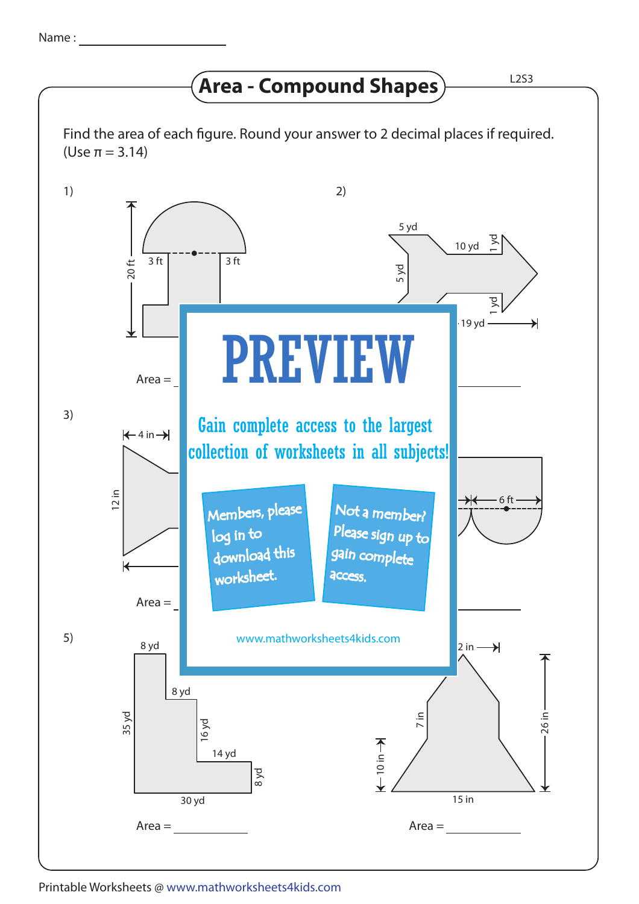## **Area - Compound Shapes**  $\overline{\phantom{a}}$  L2S3

Find the area of each figure. Round your answer to 2 decimal places if required. (Use π = 3.14)



Printable Worksheets @ www.mathworksheets4kids.com